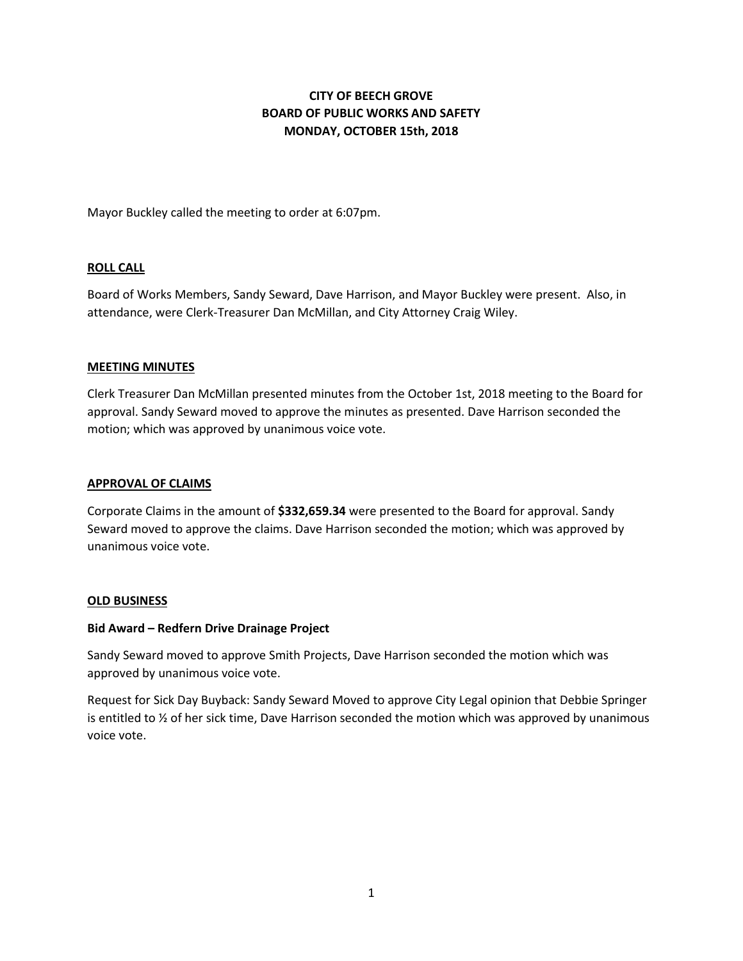# **CITY OF BEECH GROVE BOARD OF PUBLIC WORKS AND SAFETY MONDAY, OCTOBER 15th, 2018**

Mayor Buckley called the meeting to order at 6:07pm.

## **ROLL CALL**

Board of Works Members, Sandy Seward, Dave Harrison, and Mayor Buckley were present. Also, in attendance, were Clerk-Treasurer Dan McMillan, and City Attorney Craig Wiley.

#### **MEETING MINUTES**

Clerk Treasurer Dan McMillan presented minutes from the October 1st, 2018 meeting to the Board for approval. Sandy Seward moved to approve the minutes as presented. Dave Harrison seconded the motion; which was approved by unanimous voice vote.

## **APPROVAL OF CLAIMS**

Corporate Claims in the amount of **\$332,659.34** were presented to the Board for approval. Sandy Seward moved to approve the claims. Dave Harrison seconded the motion; which was approved by unanimous voice vote.

#### **OLD BUSINESS**

#### **Bid Award – Redfern Drive Drainage Project**

Sandy Seward moved to approve Smith Projects, Dave Harrison seconded the motion which was approved by unanimous voice vote.

Request for Sick Day Buyback: Sandy Seward Moved to approve City Legal opinion that Debbie Springer is entitled to  $\frac{1}{2}$  of her sick time, Dave Harrison seconded the motion which was approved by unanimous voice vote.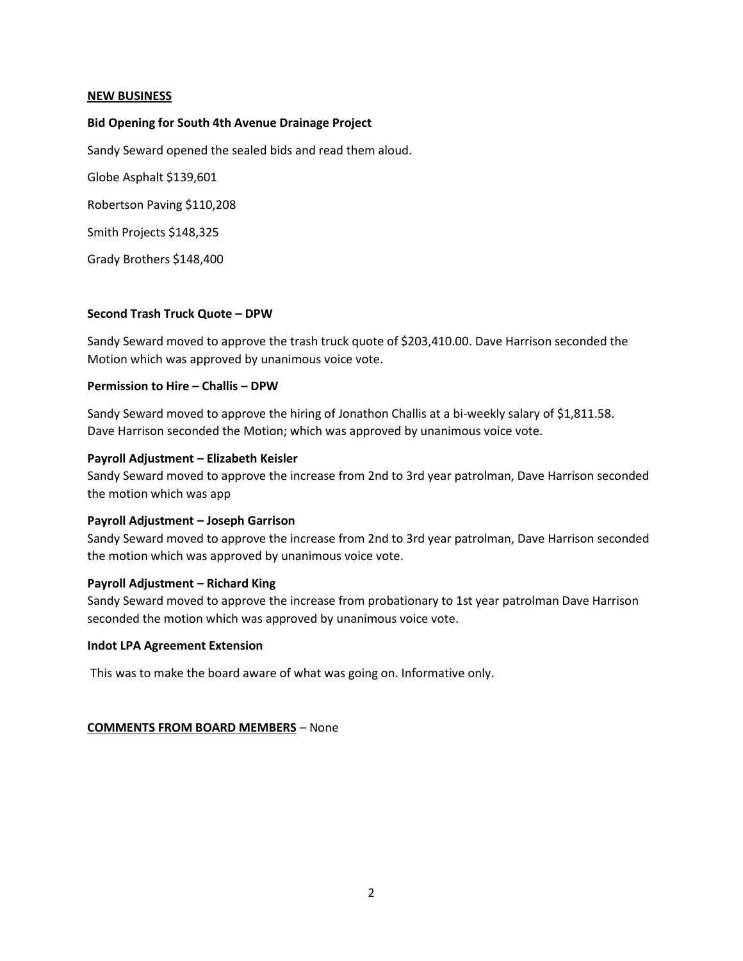#### **NEW BUSINESS**

### **Bid Opening for South 4th Avenue Drainage Project**

Sandy Seward opened the sealed bids and read them aloud.

Globe Asphalt \$139,601

Robertson Paving \$110,208

Smith Projects \$148,325

Grady Brothers \$148,400

## **Second Trash Truck Quote – DPW**

Sandy Seward moved to approve the trash truck quote of \$203,410.00. Dave Harrison seconded the Motion which was approved by unanimous voice vote.

## **Permission to Hire – Challis – DPW**

Sandy Seward moved to approve the hiring of Jonathon Challis at a bi-weekly salary of \$1,811.58. Dave Harrison seconded the Motion; which was approved by unanimous voice vote.

## **Payroll Adjustment – Elizabeth Keisler**

Sandy Seward moved to approve the increase from 2nd to 3rd year patrolman, Dave Harrison seconded the motion which was app

# **Payroll Adjustment – Joseph Garrison**

Sandy Seward moved to approve the increase from 2nd to 3rd year patrolman, Dave Harrison seconded the motion which was approved by unanimous voice vote.

# **Payroll Adjustment – Richard King**

Sandy Seward moved to approve the increase from probationary to 1st year patrolman Dave Harrison seconded the motion which was approved by unanimous voice vote.

#### **Indot LPA Agreement Extension**

This was to make the board aware of what was going on. Informative only.

#### **COMMENTS FROM BOARD MEMBERS** – None